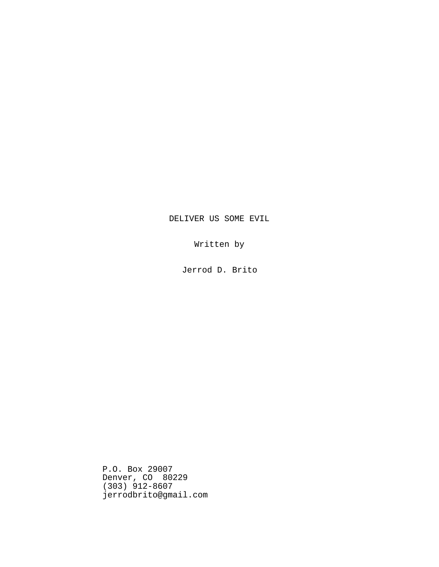# DELIVER US SOME EVIL

Written by

Jerrod D. Brito

P.O. Box 29007 Denver, CO 80229 (303) 912-8607 jerrodbrito@gmail.com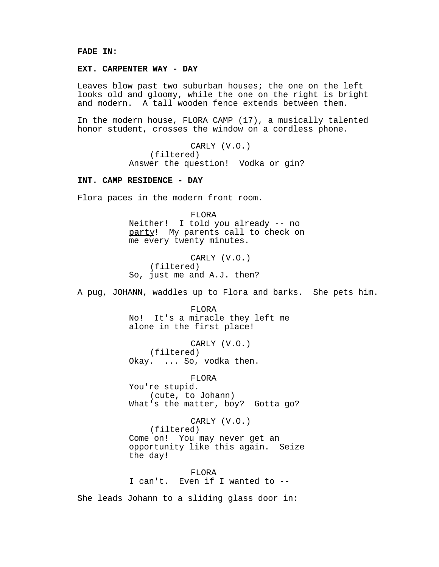## **FADE IN:**

### **EXT. CARPENTER WAY - DAY**

Leaves blow past two suburban houses; the one on the left looks old and gloomy, while the one on the right is bright and modern. A tall wooden fence extends between them.

In the modern house, FLORA CAMP (17), a musically talented honor student, crosses the window on a cordless phone.

> CARLY (V.O.) (filtered) Answer the question! Vodka or gin?

#### **INT. CAMP RESIDENCE - DAY**

Flora paces in the modern front room.

FLORA Neither! I told you already -- no party! My parents call to check on me every twenty minutes.

CARLY (V.O.) (filtered) So, just me and A.J. then?

A pug, JOHANN, waddles up to Flora and barks. She pets him.

FLORA No! It's a miracle they left me alone in the first place!

CARLY (V.O.) (filtered) Okay. ... So, vodka then.

FLORA

You're stupid. (cute, to Johann) What's the matter, boy? Gotta go?

CARLY (V.O.) (filtered) Come on! You may never get an opportunity like this again. Seize the day!

FLORA I can't. Even if I wanted to --

She leads Johann to a sliding glass door in: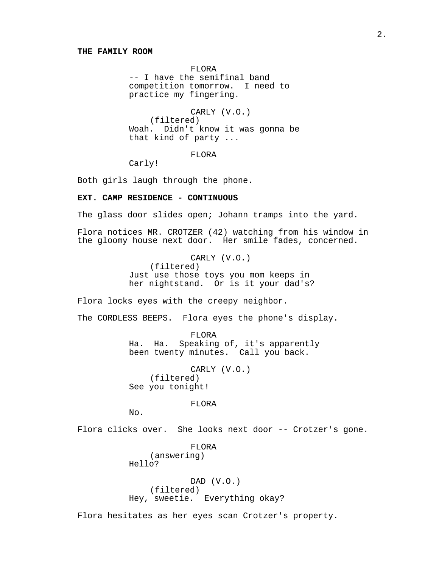### **THE FAMILY ROOM**

FLORA -- I have the semifinal band competition tomorrow. I need to practice my fingering.

CARLY (V.O.) (filtered) Woah. Didn't know it was gonna be that kind of party ...

FLORA

Carly!

Both girls laugh through the phone.

## **EXT. CAMP RESIDENCE - CONTINUOUS**

The glass door slides open; Johann tramps into the yard.

Flora notices MR. CROTZER (42) watching from his window in the gloomy house next door. Her smile fades, concerned.

> CARLY (V.O.) (filtered) Just use those toys you mom keeps in her nightstand. Or is it your dad's?

Flora locks eyes with the creepy neighbor.

The CORDLESS BEEPS. Flora eyes the phone's display.

FLORA Ha. Ha. Speaking of, it's apparently been twenty minutes. Call you back.

CARLY (V.O.) (filtered) See you tonight!

FLORA

No.

Flora clicks over. She looks next door -- Crotzer's gone.

FLORA (answering) Hello?

DAD (V.O.) (filtered) Hey, sweetie. Everything okay?

Flora hesitates as her eyes scan Crotzer's property.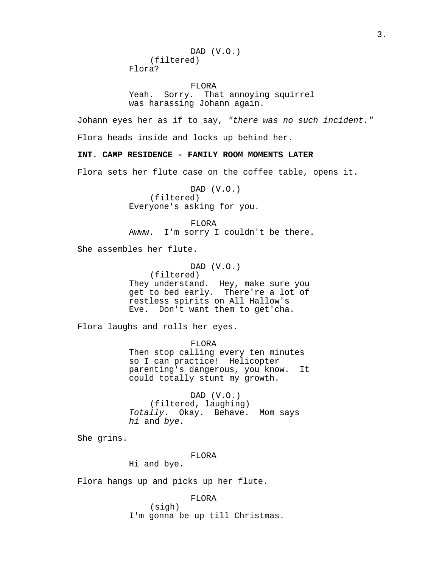|            | DAD $(V.0.)$ |
|------------|--------------|
| (filtered) |              |
| Flora?     |              |

FLORA Yeah. Sorry. That annoying squirrel was harassing Johann again.

Johann eyes her as if to say, "there was no such incident." Flora heads inside and locks up behind her.

**INT. CAMP RESIDENCE - FAMILY ROOM MOMENTS LATER**

Flora sets her flute case on the coffee table, opens it.

DAD (V.O.) (filtered) Everyone's asking for you.

FLORA Awww. I'm sorry I couldn't be there.

She assembles her flute.

DAD (V.O.) (filtered) They understand. Hey, make sure you get to bed early. There're a lot of restless spirits on All Hallow's Eve. Don't want them to get'cha.

Flora laughs and rolls her eyes.

FLORA Then stop calling every ten minutes so I can practice! Helicopter parenting's dangerous, you know. It could totally stunt my growth.

DAD (V.O.) (filtered, laughing) Totally. Okay. Behave. Mom says hi and bye.

She grins.

#### FLORA

Hi and bye.

Flora hangs up and picks up her flute.

FLORA (sigh) I'm gonna be up till Christmas.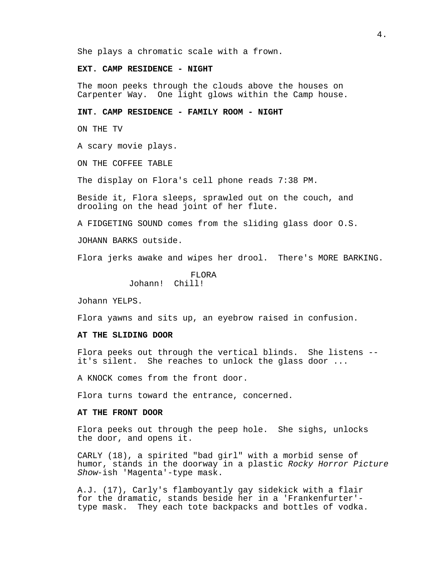She plays a chromatic scale with a frown.

### **EXT. CAMP RESIDENCE - NIGHT**

The moon peeks through the clouds above the houses on Carpenter Way. One light glows within the Camp house.

### **INT. CAMP RESIDENCE - FAMILY ROOM - NIGHT**

ON THE TV

A scary movie plays.

ON THE COFFEE TABLE

The display on Flora's cell phone reads 7:38 PM.

Beside it, Flora sleeps, sprawled out on the couch, and drooling on the head joint of her flute.

A FIDGETING SOUND comes from the sliding glass door O.S.

JOHANN BARKS outside.

Flora jerks awake and wipes her drool. There's MORE BARKING.

FLORA Johann! Chill!

Johann YELPS.

Flora yawns and sits up, an eyebrow raised in confusion.

## **AT THE SLIDING DOOR**

Flora peeks out through the vertical blinds. She listens - it's silent. She reaches to unlock the glass door ...

A KNOCK comes from the front door.

Flora turns toward the entrance, concerned.

### **AT THE FRONT DOOR**

Flora peeks out through the peep hole. She sighs, unlocks the door, and opens it.

CARLY (18), a spirited "bad girl" with a morbid sense of humor, stands in the doorway in a plastic Rocky Horror Picture Show-ish 'Magenta'-type mask.

A.J. (17), Carly's flamboyantly gay sidekick with a flair for the dramatic, stands beside her in a 'Frankenfurter' type mask. They each tote backpacks and bottles of vodka.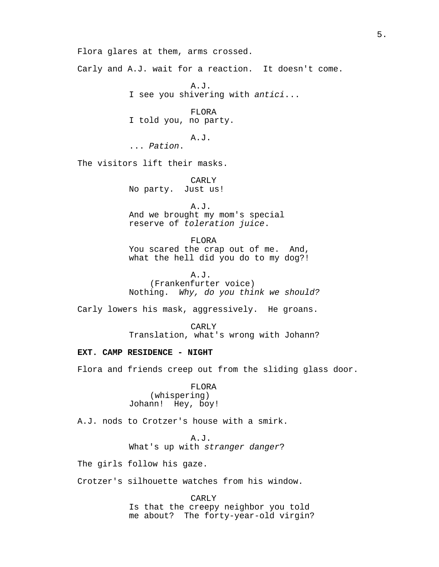Flora glares at them, arms crossed.

Carly and A.J. wait for a reaction. It doesn't come.

A.J. I see you shivering with antici...

FLORA I told you, no party.

A.J.

... Pation.

The visitors lift their masks.

CARLY No party. Just us!

A.J. And we brought my mom's special reserve of toleration juice.

FLORA You scared the crap out of me. And, what the hell did you do to my dog?!

A.J. (Frankenfurter voice) Nothing. Why, do you think we should?

Carly lowers his mask, aggressively. He groans.

CARLY Translation, what's wrong with Johann?

### **EXT. CAMP RESIDENCE - NIGHT**

Flora and friends creep out from the sliding glass door.

FLORA (whispering) Johann! Hey, boy!

A.J. nods to Crotzer's house with a smirk.

A.J. What's up with stranger danger?

The girls follow his gaze.

Crotzer's silhouette watches from his window.

CARLY Is that the creepy neighbor you told me about? The forty-year-old virgin?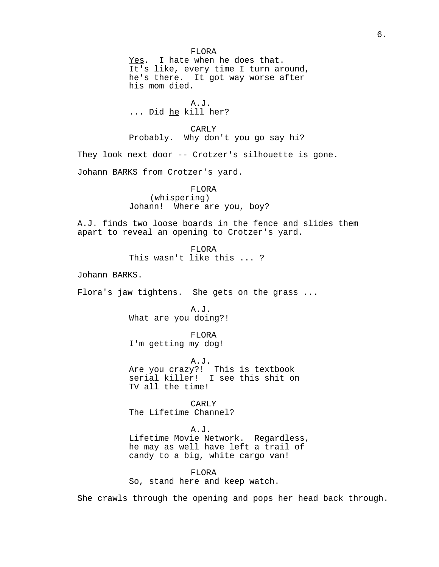FLORA Yes. I hate when he does that. It's like, every time I turn around, he's there. It got way worse after his mom died. A.J. ... Did he kill her? CARLY Probably. Why don't you go say hi? They look next door -- Crotzer's silhouette is gone. Johann BARKS from Crotzer's yard. FLORA (whispering) Johann! Where are you, boy? A.J. finds two loose boards in the fence and slides them apart to reveal an opening to Crotzer's yard. FLORA This wasn't like this ... ? Johann BARKS. Flora's jaw tightens. She gets on the grass ... A.J. What are you doing?! FLORA I'm getting my dog! A.J. Are you crazy?! This is textbook serial killer! I see this shit on TV all the time! CARLY The Lifetime Channel? A.J. Lifetime Movie Network. Regardless, he may as well have left a trail of candy to a big, white cargo van! FLORA So, stand here and keep watch. She crawls through the opening and pops her head back through.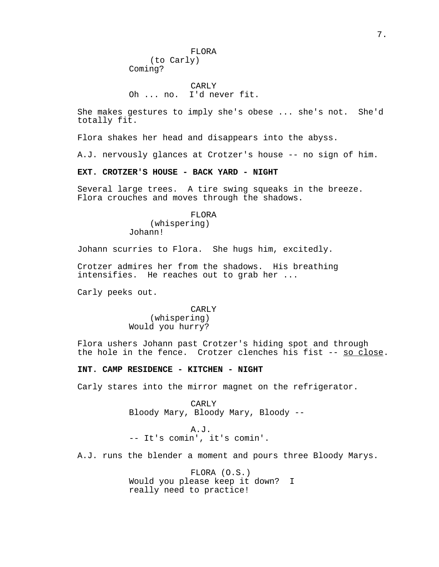FLORA (to Carly) Coming?

CARLY Oh ... no. I'd never fit.

She makes gestures to imply she's obese ... she's not. She'd totally fit.

Flora shakes her head and disappears into the abyss.

A.J. nervously glances at Crotzer's house -- no sign of him.

### **EXT. CROTZER'S HOUSE - BACK YARD - NIGHT**

Several large trees. A tire swing squeaks in the breeze. Flora crouches and moves through the shadows.

> FLORA (whispering) Johann!

Johann scurries to Flora. She hugs him, excitedly.

Crotzer admires her from the shadows. His breathing intensifies. He reaches out to grab her ...

Carly peeks out.

## CARLY (whispering) Would you hurry?

Flora ushers Johann past Crotzer's hiding spot and through the hole in the fence. Crotzer clenches his fist -- so close.

### **INT. CAMP RESIDENCE - KITCHEN - NIGHT**

Carly stares into the mirror magnet on the refrigerator.

CARLY Bloody Mary, Bloody Mary, Bloody --

A.J. -- It's comin', it's comin'.

A.J. runs the blender a moment and pours three Bloody Marys.

FLORA (O.S.) Would you please keep it down? I really need to practice!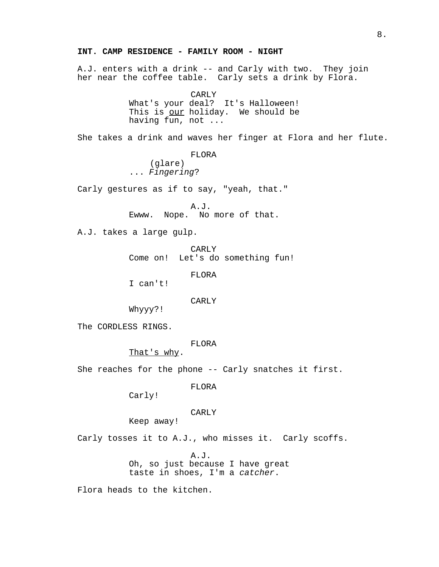## **INT. CAMP RESIDENCE - FAMILY ROOM - NIGHT**

A.J. enters with a drink -- and Carly with two. They join her near the coffee table. Carly sets a drink by Flora.

> CARLY What's your deal? It's Halloween! This is our holiday. We should be

having fun, not ...

She takes a drink and waves her finger at Flora and her flute.

FLORA

(glare) ... Fingering?

Carly gestures as if to say, "yeah, that."

A.J. Ewww. Nope. No more of that.

A.J. takes a large gulp.

CARLY Come on! Let's do something fun!

FLORA

I can't!

CARLY

Whyyy?!

The CORDLESS RINGS.

FLORA

That's why.

She reaches for the phone -- Carly snatches it first.

FLORA

Carly!

CARLY

Keep away!

Carly tosses it to A.J., who misses it. Carly scoffs.

A.J. Oh, so just because I have great taste in shoes, I'm a catcher.

Flora heads to the kitchen.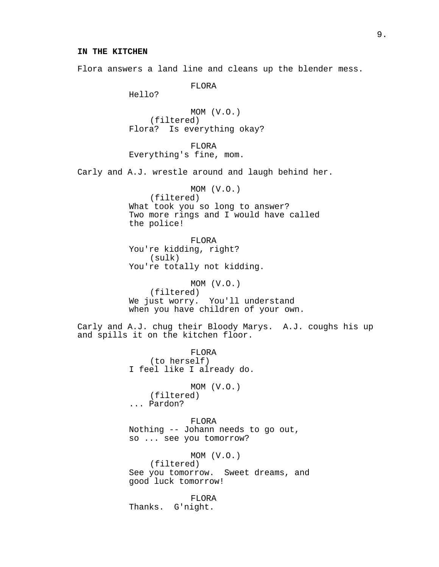Flora answers a land line and cleans up the blender mess.

FLORA

Hello?

MOM (V.O.) (filtered) Flora? Is everything okay?

FLORA Everything's fine, mom.

Carly and A.J. wrestle around and laugh behind her.

MOM (V.O.) (filtered) What took you so long to answer? Two more rings and I would have called the police!

FLORA You're kidding, right? (sulk) You're totally not kidding.

MOM (V.O.) (filtered) We just worry. You'll understand when you have children of your own.

Carly and A.J. chug their Bloody Marys. A.J. coughs his up and spills it on the kitchen floor.

> FLORA (to herself) I feel like I already do.

MOM (V.O.) (filtered) ... Pardon?

FLORA Nothing -- Johann needs to go out, so ... see you tomorrow?

MOM (V.O.) (filtered) See you tomorrow. Sweet dreams, and good luck tomorrow!

FLORA Thanks. G'night.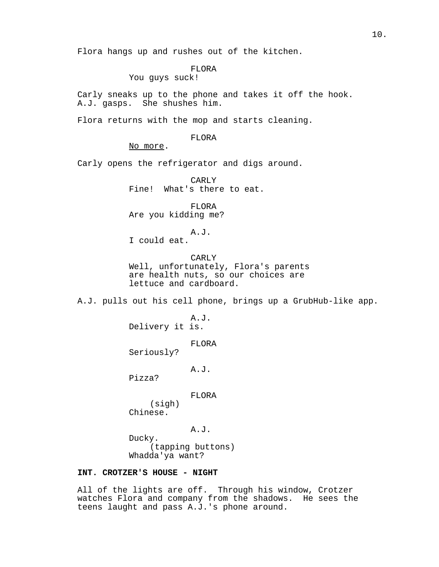Flora hangs up and rushes out of the kitchen.

# FLORA

You guys suck!

Carly sneaks up to the phone and takes it off the hook. A.J. gasps. She shushes him.

Flora returns with the mop and starts cleaning.

### FLORA

No more.

Carly opens the refrigerator and digs around.

CARLY Fine! What's there to eat.

FLORA Are you kidding me?

A.J.

I could eat.

CARLY Well, unfortunately, Flora's parents are health nuts, so our choices are lettuce and cardboard.

A.J. pulls out his cell phone, brings up a GrubHub-like app.

A.J. Delivery it is.

FLORA

Seriously?

A.J.

Pizza?

FLORA

(sigh) Chinese.

A.J. Ducky. (tapping buttons) Whadda'ya want?

# **INT. CROTZER'S HOUSE - NIGHT**

All of the lights are off. Through his window, Crotzer watches Flora and company from the shadows. He sees the teens laught and pass A.J.'s phone around.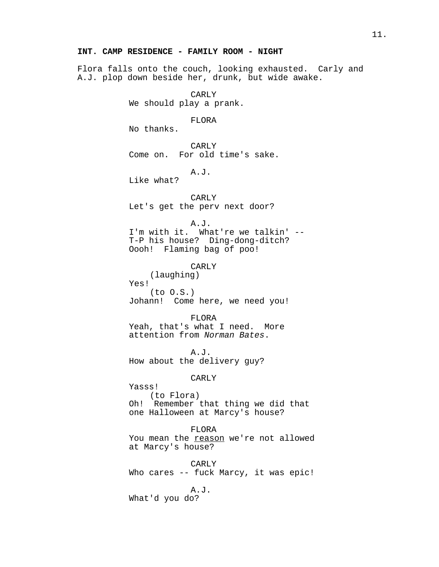## **INT. CAMP RESIDENCE - FAMILY ROOM - NIGHT**

Flora falls onto the couch, looking exhausted. Carly and A.J. plop down beside her, drunk, but wide awake.

> CARLY We should play a prank.

> > FLORA

No thanks.

CARLY Come on. For old time's sake.

A.J.

Like what?

CARLY

Let's get the perv next door?

A.J.

I'm with it. What're we talkin' -- T-P his house? Ding-dong-ditch? Oooh! Flaming bag of poo!

CARLY (laughing) Yes! (to O.S.) Johann! Come here, we need you!

FLORA Yeah, that's what I need. More attention from Norman Bates.

A.J. How about the delivery guy?

CARLY

Yasss! (to Flora) Oh! Remember that thing we did that one Halloween at Marcy's house?

FLORA

You mean the reason we're not allowed at Marcy's house?

CARLY Who cares -- fuck Marcy, it was epic!

A.J. What'd you do?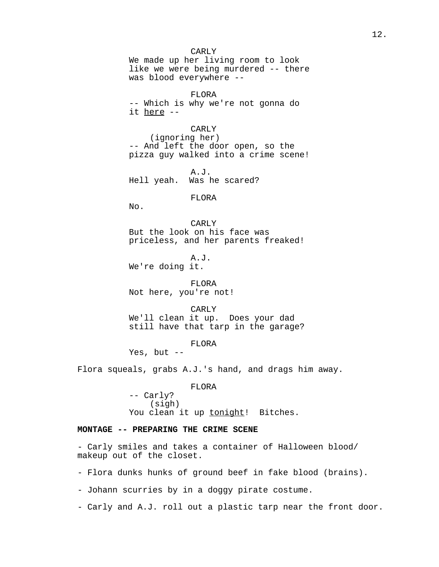CARLY We made up her living room to look like we were being murdered -- there was blood everywhere --

FLORA -- Which is why we're not gonna do it here --

CARLY (ignoring her) -- And left the door open, so the pizza guy walked into a crime scene!

A.J. Hell yeah. Was he scared?

FLORA

 $N<sub>O</sub>$ .

CARLY But the look on his face was priceless, and her parents freaked!

A.J. We're doing it.

FLORA Not here, you're not!

CARLY We'll clean it up. Does your dad still have that tarp in the garage?

FLORA

Yes, but --

Flora squeals, grabs A.J.'s hand, and drags him away.

FLORA -- Carly? (sigh) You clean it up tonight! Bitches.

## **MONTAGE -- PREPARING THE CRIME SCENE**

- Carly smiles and takes a container of Halloween blood/ makeup out of the closet.

- Flora dunks hunks of ground beef in fake blood (brains).

- Johann scurries by in a doggy pirate costume.

- Carly and A.J. roll out a plastic tarp near the front door.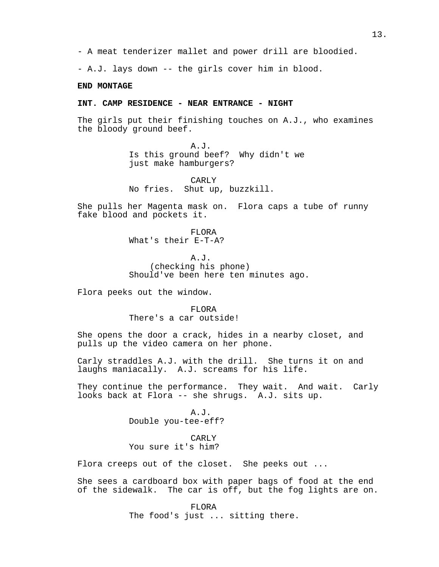- A.J. lays down -- the girls cover him in blood.

### **END MONTAGE**

#### **INT. CAMP RESIDENCE - NEAR ENTRANCE - NIGHT**

The girls put their finishing touches on A.J., who examines the bloody ground beef.

> A.J. Is this ground beef? Why didn't we just make hamburgers?

CARLY No fries. Shut up, buzzkill.

She pulls her Magenta mask on. Flora caps a tube of runny fake blood and pockets it.

> FLORA What's their E-T-A?

A.J. (checking his phone) Should've been here ten minutes ago.

Flora peeks out the window.

FLORA There's a car outside!

She opens the door a crack, hides in a nearby closet, and pulls up the video camera on her phone.

Carly straddles A.J. with the drill. She turns it on and laughs maniacally. A.J. screams for his life.

They continue the performance. They wait. And wait. Carly looks back at Flora -- she shrugs. A.J. sits up.

> A.J. Double you-tee-eff?

CARLY You sure it's him?

Flora creeps out of the closet. She peeks out ...

She sees a cardboard box with paper bags of food at the end of the sidewalk. The car is off, but the fog lights are on.

> FLORA The food's just ... sitting there.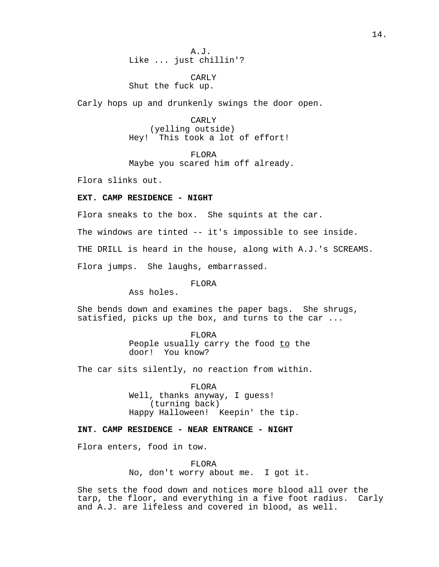A.J. Like ... just chillin'?

## CARLY Shut the fuck up.

Carly hops up and drunkenly swings the door open.

CARLY (yelling outside) Hey! This took a lot of effort!

FLORA Maybe you scared him off already.

Flora slinks out.

## **EXT. CAMP RESIDENCE - NIGHT**

Flora sneaks to the box. She squints at the car.

The windows are tinted -- it's impossible to see inside.

THE DRILL is heard in the house, along with A.J.'s SCREAMS.

Flora jumps. She laughs, embarrassed.

## FLORA

Ass holes.

She bends down and examines the paper bags. She shrugs, satisfied, picks up the box, and turns to the car ...

> FLORA People usually carry the food to the door! You know?

The car sits silently, no reaction from within.

FLORA Well, thanks anyway, I guess! (turning back) Happy Halloween! Keepin' the tip.

## **INT. CAMP RESIDENCE - NEAR ENTRANCE - NIGHT**

Flora enters, food in tow.

FLORA No, don't worry about me. I got it.

She sets the food down and notices more blood all over the tarp, the floor, and everything in a five foot radius. Carly and A.J. are lifeless and covered in blood, as well.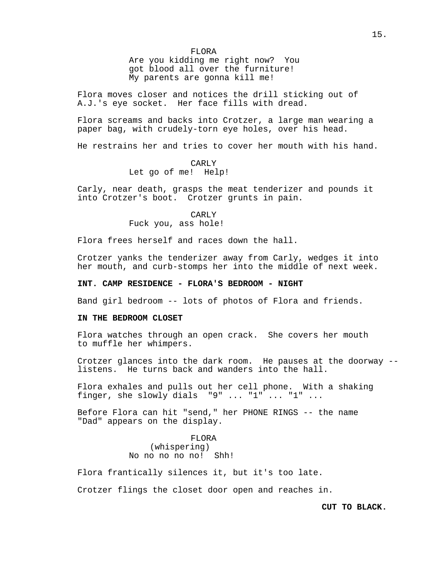Are you kidding me right now? You got blood all over the furniture! My parents are gonna kill me!

Flora moves closer and notices the drill sticking out of A.J.'s eye socket. Her face fills with dread.

Flora screams and backs into Crotzer, a large man wearing a paper bag, with crudely-torn eye holes, over his head.

He restrains her and tries to cover her mouth with his hand.

#### CARLY

Let go of me! Help!

Carly, near death, grasps the meat tenderizer and pounds it into Crotzer's boot. Crotzer grunts in pain.

> CARLY Fuck you, ass hole!

Flora frees herself and races down the hall.

Crotzer yanks the tenderizer away from Carly, wedges it into her mouth, and curb-stomps her into the middle of next week.

## **INT. CAMP RESIDENCE - FLORA'S BEDROOM - NIGHT**

Band girl bedroom -- lots of photos of Flora and friends.

### **IN THE BEDROOM CLOSET**

Flora watches through an open crack. She covers her mouth to muffle her whimpers.

Crotzer glances into the dark room. He pauses at the doorway - listens. He turns back and wanders into the hall.

Flora exhales and pulls out her cell phone. With a shaking finger, she slowly dials  $"9"$  ...  $"1"$  ...  $"1"$  ...

Before Flora can hit "send," her PHONE RINGS -- the name "Dad" appears on the display.

> FLORA (whispering) No no no no no! Shh!

Flora frantically silences it, but it's too late.

Crotzer flings the closet door open and reaches in.

## **CUT TO BLACK.**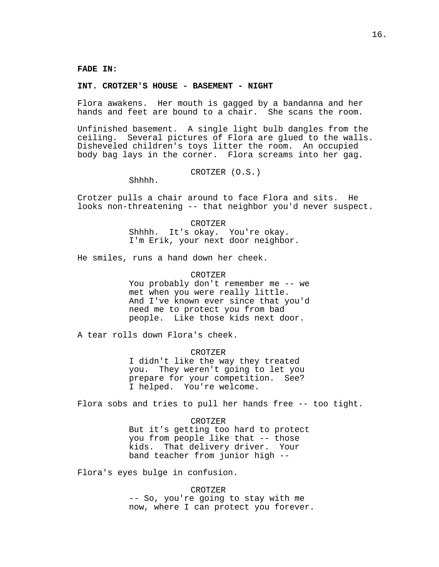#### **INT. CROTZER'S HOUSE - BASEMENT - NIGHT**

Flora awakens. Her mouth is gagged by a bandanna and her hands and feet are bound to a chair. She scans the room.

Unfinished basement. A single light bulb dangles from the ceiling. Several pictures of Flora are glued to the walls. Disheveled children's toys litter the room. An occupied body bag lays in the corner. Flora screams into her gag.

CROTZER (O.S.)

Shhhh.

Crotzer pulls a chair around to face Flora and sits. He looks non-threatening -- that neighbor you'd never suspect.

CROTZER

Shhhh. It's okay. You're okay. I'm Erik, your next door neighbor.

He smiles, runs a hand down her cheek.

## CROTZER

You probably don't remember me -- we met when you were really little. And I've known ever since that you'd need me to protect you from bad people. Like those kids next door.

A tear rolls down Flora's cheek.

### CROTZER

I didn't like the way they treated you. They weren't going to let you prepare for your competition. See? I helped. You're welcome.

Flora sobs and tries to pull her hands free -- too tight.

#### CROTZER

But it's getting too hard to protect you from people like that -- those kids. That delivery driver. Your band teacher from junior high --

Flora's eyes bulge in confusion.

CROTZER -- So, you're going to stay with me now, where I can protect you forever.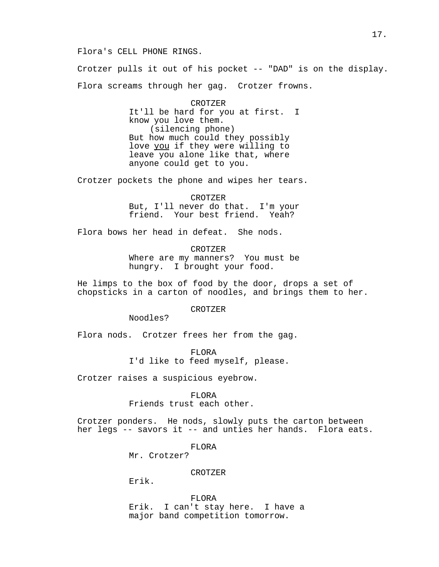### Flora's CELL PHONE RINGS.

Crotzer pulls it out of his pocket -- "DAD" is on the display. Flora screams through her gag. Crotzer frowns.

> CROTZER It'll be hard for you at first. I know you love them. (silencing phone) But how much could they possibly love you if they were willing to leave you alone like that, where anyone could get to you.

Crotzer pockets the phone and wipes her tears.

CROTZER But, I'll never do that. I'm your friend. Your best friend. Yeah?

Flora bows her head in defeat. She nods.

CROTZER Where are my manners? You must be hungry. I brought your food.

He limps to the box of food by the door, drops a set of chopsticks in a carton of noodles, and brings them to her.

CROTZER

Noodles?

Flora nods. Crotzer frees her from the gag.

FLORA I'd like to feed myself, please.

Crotzer raises a suspicious eyebrow.

FLORA

Friends trust each other.

Crotzer ponders. He nods, slowly puts the carton between her legs -- savors it -- and unties her hands. Flora eats.

FLORA

Mr. Crotzer?

## CROTZER

Erik.

FLORA Erik. I can't stay here. I have a major band competition tomorrow.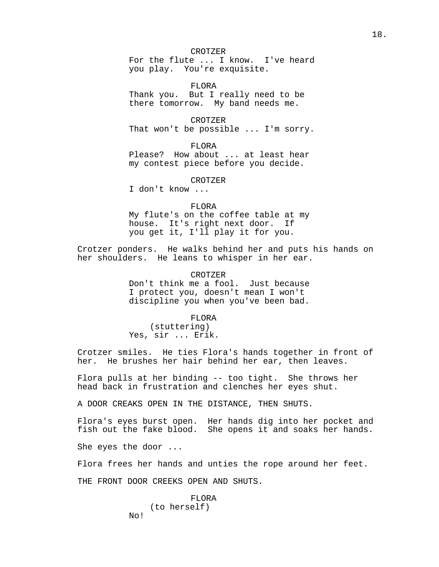#### CROTZER

For the flute ... I know. I've heard you play. You're exquisite.

FLORA Thank you. But I really need to be there tomorrow. My band needs me.

CROTZER That won't be possible ... I'm sorry.

FLORA Please? How about ... at least hear my contest piece before you decide.

CROTZER

I don't know ...

### FLORA

My flute's on the coffee table at my house. It's right next door. If you get it, I'll play it for you.

Crotzer ponders. He walks behind her and puts his hands on her shoulders. He leans to whisper in her ear.

> CROTZER Don't think me a fool. Just because I protect you, doesn't mean I won't discipline you when you've been bad.

FLORA (stuttering) Yes, sir ... Erik.

Crotzer smiles. He ties Flora's hands together in front of her. He brushes her hair behind her ear, then leaves.

Flora pulls at her binding -- too tight. She throws her head back in frustration and clenches her eyes shut.

A DOOR CREAKS OPEN IN THE DISTANCE, THEN SHUTS.

Flora's eyes burst open. Her hands dig into her pocket and fish out the fake blood. She opens it and soaks her hands.

She eyes the door ...

Flora frees her hands and unties the rope around her feet.

THE FRONT DOOR CREEKS OPEN AND SHUTS.

### FLORA (to herself) No!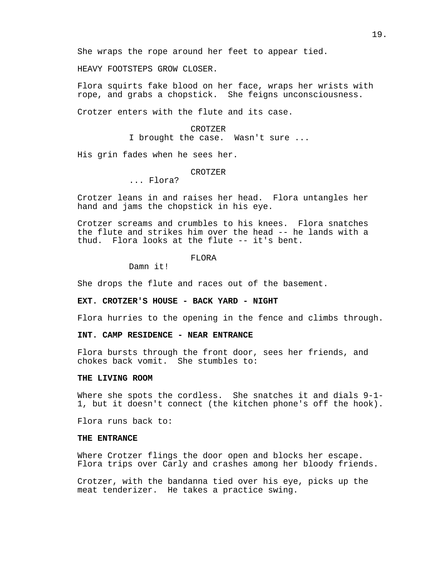HEAVY FOOTSTEPS GROW CLOSER.

Flora squirts fake blood on her face, wraps her wrists with rope, and grabs a chopstick. She feigns unconsciousness.

Crotzer enters with the flute and its case.

# CROTZER I brought the case. Wasn't sure ...

His grin fades when he sees her.

#### CROTZER

## ... Flora?

Crotzer leans in and raises her head. Flora untangles her hand and jams the chopstick in his eye.

Crotzer screams and crumbles to his knees. Flora snatches the flute and strikes him over the head -- he lands with a thud. Flora looks at the flute -- it's bent.

FLORA

Damn it!

She drops the flute and races out of the basement.

### **EXT. CROTZER'S HOUSE - BACK YARD - NIGHT**

Flora hurries to the opening in the fence and climbs through.

# **INT. CAMP RESIDENCE - NEAR ENTRANCE**

Flora bursts through the front door, sees her friends, and chokes back vomit. She stumbles to:

### **THE LIVING ROOM**

Where she spots the cordless. She snatches it and dials 9-1-1, but it doesn't connect (the kitchen phone's off the hook).

Flora runs back to:

### **THE ENTRANCE**

Where Crotzer flings the door open and blocks her escape. Flora trips over Carly and crashes among her bloody friends.

Crotzer, with the bandanna tied over his eye, picks up the meat tenderizer. He takes a practice swing.